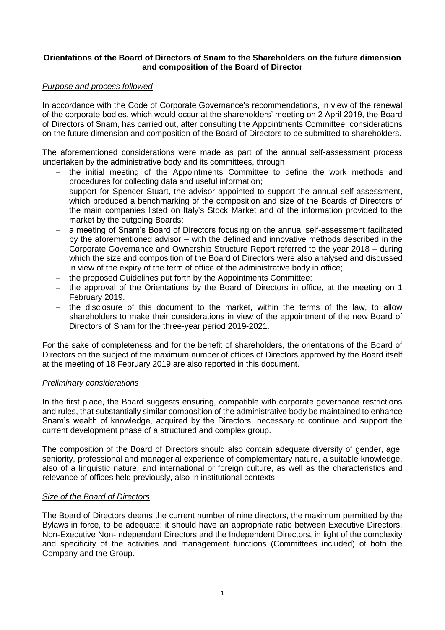# **Orientations of the Board of Directors of Snam to the Shareholders on the future dimension and composition of the Board of Director**

#### *Purpose and process followed*

In accordance with the Code of Corporate Governance's recommendations, in view of the renewal of the corporate bodies, which would occur at the shareholders' meeting on 2 April 2019, the Board of Directors of Snam, has carried out, after consulting the Appointments Committee, considerations on the future dimension and composition of the Board of Directors to be submitted to shareholders.

The aforementioned considerations were made as part of the annual self-assessment process undertaken by the administrative body and its committees, through

- the initial meeting of the Appointments Committee to define the work methods and procedures for collecting data and useful information;
- support for Spencer Stuart, the advisor appointed to support the annual self-assessment, which produced a benchmarking of the composition and size of the Boards of Directors of the main companies listed on Italy's Stock Market and of the information provided to the market by the outgoing Boards;
- a meeting of Snam's Board of Directors focusing on the annual self-assessment facilitated by the aforementioned advisor – with the defined and innovative methods described in the Corporate Governance and Ownership Structure Report referred to the year 2018 – during which the size and composition of the Board of Directors were also analysed and discussed in view of the expiry of the term of office of the administrative body in office;
- the proposed Guidelines put forth by the Appointments Committee;
- the approval of the Orientations by the Board of Directors in office, at the meeting on 1 February 2019.
- $-$  the disclosure of this document to the market, within the terms of the law, to allow shareholders to make their considerations in view of the appointment of the new Board of Directors of Snam for the three-year period 2019-2021.

For the sake of completeness and for the benefit of shareholders, the orientations of the Board of Directors on the subject of the maximum number of offices of Directors approved by the Board itself at the meeting of 18 February 2019 are also reported in this document.

#### *Preliminary considerations*

In the first place, the Board suggests ensuring, compatible with corporate governance restrictions and rules, that substantially similar composition of the administrative body be maintained to enhance Snam's wealth of knowledge, acquired by the Directors, necessary to continue and support the current development phase of a structured and complex group.

The composition of the Board of Directors should also contain adequate diversity of gender, age, seniority, professional and managerial experience of complementary nature, a suitable knowledge, also of a linguistic nature, and international or foreign culture, as well as the characteristics and relevance of offices held previously, also in institutional contexts.

# *Size of the Board of Directors*

The Board of Directors deems the current number of nine directors, the maximum permitted by the Bylaws in force, to be adequate: it should have an appropriate ratio between Executive Directors, Non-Executive Non-Independent Directors and the Independent Directors, in light of the complexity and specificity of the activities and management functions (Committees included) of both the Company and the Group.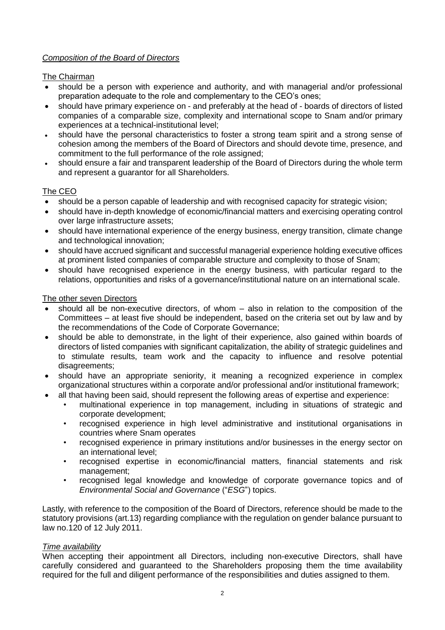# *Composition of the Board of Directors*

# The Chairman

- should be a person with experience and authority, and with managerial and/or professional preparation adequate to the role and complementary to the CEO's ones;
- should have primary experience on and preferably at the head of boards of directors of listed companies of a comparable size, complexity and international scope to Snam and/or primary experiences at a technical-institutional level;
- should have the personal characteristics to foster a strong team spirit and a strong sense of cohesion among the members of the Board of Directors and should devote time, presence, and commitment to the full performance of the role assigned;
- should ensure a fair and transparent leadership of the Board of Directors during the whole term and represent a guarantor for all Shareholders.

# The CEO

- should be a person capable of leadership and with recognised capacity for strategic vision;
- should have in-depth knowledge of economic/financial matters and exercising operating control over large infrastructure assets;
- should have international experience of the energy business, energy transition, climate change and technological innovation;
- should have accrued significant and successful managerial experience holding executive offices at prominent listed companies of comparable structure and complexity to those of Snam;
- should have recognised experience in the energy business, with particular regard to the relations, opportunities and risks of a governance/institutional nature on an international scale.

## The other seven Directors

- should all be non-executive directors, of whom also in relation to the composition of the Committees – at least five should be independent, based on the criteria set out by law and by the recommendations of the Code of Corporate Governance;
- should be able to demonstrate, in the light of their experience, also gained within boards of directors of listed companies with significant capitalization, the ability of strategic guidelines and to stimulate results, team work and the capacity to influence and resolve potential disagreements;
- should have an appropriate seniority, it meaning a recognized experience in complex organizational structures within a corporate and/or professional and/or institutional framework;
- all that having been said, should represent the following areas of expertise and experience:
	- multinational experience in top management, including in situations of strategic and corporate development;
	- recognised experience in high level administrative and institutional organisations in countries where Snam operates
	- recognised experience in primary institutions and/or businesses in the energy sector on an international level;
	- recognised expertise in economic/financial matters, financial statements and risk management;
	- recognised legal knowledge and knowledge of corporate governance topics and of *Environmental Social and Governance* ("*ESG*") topics.

Lastly, with reference to the composition of the Board of Directors, reference should be made to the statutory provisions (art.13) regarding compliance with the regulation on gender balance pursuant to law no.120 of 12 July 2011.

## *Time availability*

When accepting their appointment all Directors, including non-executive Directors, shall have carefully considered and guaranteed to the Shareholders proposing them the time availability required for the full and diligent performance of the responsibilities and duties assigned to them.